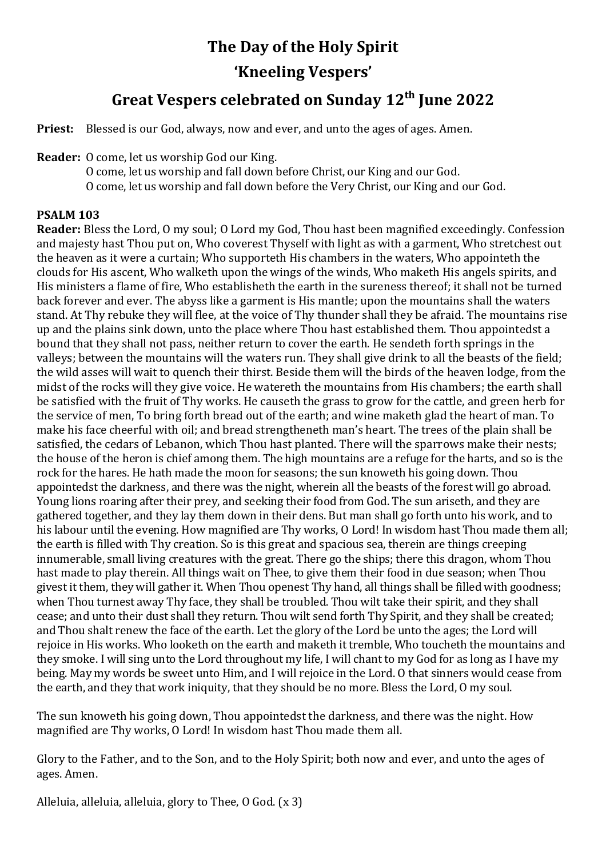# **The Day of the Holy Spirit 'Kneeling Vespers'**

## **Great Vespers celebrated on Sunday 12th June 2022**

**Priest:** Blessed is our God, always, now and ever, and unto the ages of ages. Amen.

**Reader:** O come, let us worship God our King.

O come, let us worship and fall down before Christ, our King and our God. O come, let us worship and fall down before the Very Christ, our King and our God.

### **PSALM 103**

**Reader:** Bless the Lord, O my soul; O Lord my God, Thou hast been magnified exceedingly. Confession and majesty hast Thou put on, Who coverest Thyself with light as with a garment, Who stretchest out the heaven as it were a curtain; Who supporteth His chambers in the waters, Who appointeth the clouds for His ascent, Who walketh upon the wings of the winds, Who maketh His angels spirits, and His ministers a flame of fire, Who establisheth the earth in the sureness thereof; it shall not be turned back forever and ever. The abyss like a garment is His mantle; upon the mountains shall the waters stand. At Thy rebuke they will flee, at the voice of Thy thunder shall they be afraid. The mountains rise up and the plains sink down, unto the place where Thou hast established them. Thou appointedst a bound that they shall not pass, neither return to cover the earth. He sendeth forth springs in the valleys; between the mountains will the waters run. They shall give drink to all the beasts of the field; the wild asses will wait to quench their thirst. Beside them will the birds of the heaven lodge, from the midst of the rocks will they give voice. He watereth the mountains from His chambers; the earth shall be satisfied with the fruit of Thy works. He causeth the grass to grow for the cattle, and green herb for the service of men, To bring forth bread out of the earth; and wine maketh glad the heart of man. To make his face cheerful with oil; and bread strengtheneth man's heart. The trees of the plain shall be satisfied, the cedars of Lebanon, which Thou hast planted. There will the sparrows make their nests; the house of the heron is chief among them. The high mountains are a refuge for the harts, and so is the rock for the hares. He hath made the moon for seasons; the sun knoweth his going down. Thou appointedst the darkness, and there was the night, wherein all the beasts of the forest will go abroad. Young lions roaring after their prey, and seeking their food from God. The sun ariseth, and they are gathered together, and they lay them down in their dens. But man shall go forth unto his work, and to his labour until the evening. How magnified are Thy works, O Lord! In wisdom hast Thou made them all; the earth is filled with Thy creation. So is this great and spacious sea, therein are things creeping innumerable, small living creatures with the great. There go the ships; there this dragon, whom Thou hast made to play therein. All things wait on Thee, to give them their food in due season; when Thou givest it them, they will gather it. When Thou openest Thy hand, all things shall be filled with goodness; when Thou turnest away Thy face, they shall be troubled. Thou wilt take their spirit, and they shall cease; and unto their dust shall they return. Thou wilt send forth Thy Spirit, and they shall be created; and Thou shalt renew the face of the earth. Let the glory of the Lord be unto the ages; the Lord will rejoice in His works. Who looketh on the earth and maketh it tremble, Who toucheth the mountains and they smoke. I will sing unto the Lord throughout my life, I will chant to my God for as long as I have my being. May my words be sweet unto Him, and I will rejoice in the Lord. O that sinners would cease from the earth, and they that work iniquity, that they should be no more. Bless the Lord, O my soul.

The sun knoweth his going down, Thou appointedst the darkness, and there was the night. How magnified are Thy works, O Lord! In wisdom hast Thou made them all.

Glory to the Father, and to the Son, and to the Holy Spirit; both now and ever, and unto the ages of ages. Amen.

Alleluia, alleluia, alleluia, glory to Thee, O God. (x 3)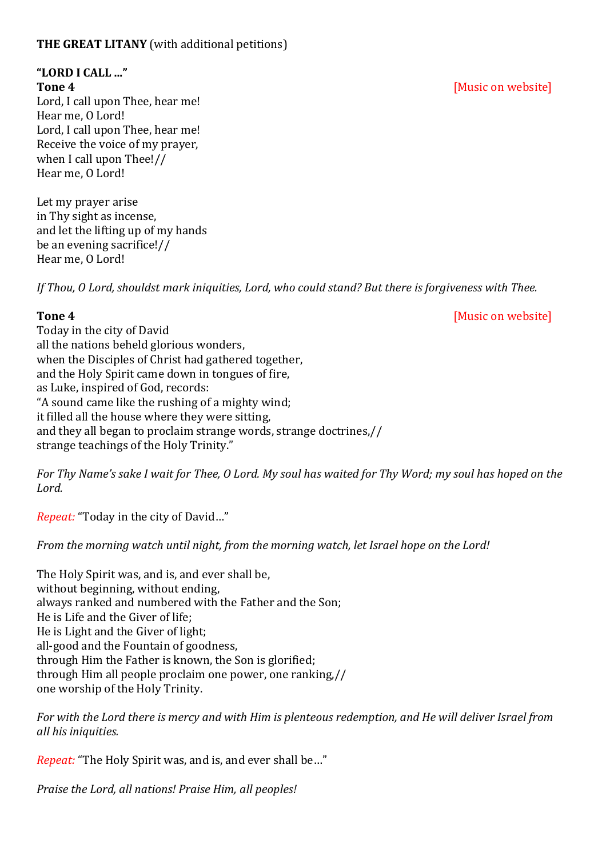### **THE GREAT LITANY** (with additional petitions)

# **"LORD I CALL ..."**

Lord, I call upon Thee, hear me! Hear me, O Lord! Lord, I call upon Thee, hear me! Receive the voice of my prayer, when I call upon Thee!// Hear me, O Lord!

Let my prayer arise in Thy sight as incense, and let the lifting up of my hands be an evening sacrifice!// Hear me, O Lord!

*If Thou, O Lord, shouldst mark iniquities, Lord, who could stand? But there is forgiveness with Thee.* 

**Tone 4** *CON CON CON CON CON CON CON CON CON CON CON CON CON CON CON CON CON CON CON CON CON CON CON CON CON CON CON* 

Today in the city of David all the nations beheld glorious wonders, when the Disciples of Christ had gathered together, and the Holy Spirit came down in tongues of fire, as Luke, inspired of God, records: "A sound came like the rushing of a mighty wind; it filled all the house where they were sitting, and they all began to proclaim strange words, strange doctrines,// strange teachings of the Holy Trinity."

*For Thy Name's sake I wait for Thee, O Lord. My soul has waited for Thy Word; my soul has hoped on the Lord.* 

*Repeat:* "Today in the city of David…"

*From the morning watch until night, from the morning watch, let Israel hope on the Lord!* 

The Holy Spirit was, and is, and ever shall be, without beginning, without ending, always ranked and numbered with the Father and the Son; He is Life and the Giver of life; He is Light and the Giver of light; all-good and the Fountain of goodness, through Him the Father is known, the Son is glorified; through Him all people proclaim one power, one ranking,// one worship of the Holy Trinity.

*For with the Lord there is mercy and with Him is plenteous redemption, and He will deliver Israel from all his iniquities.*

*Repeat:* "The Holy Spirit was, and is, and ever shall be…"

*Praise the Lord, all nations! Praise Him, all peoples!*

### **Tone 4** *CON CON CON CON CON CON CON CON CON CON CON CON CON CON CON CON CON CON CON CON CON CON CON CON CON CON CON*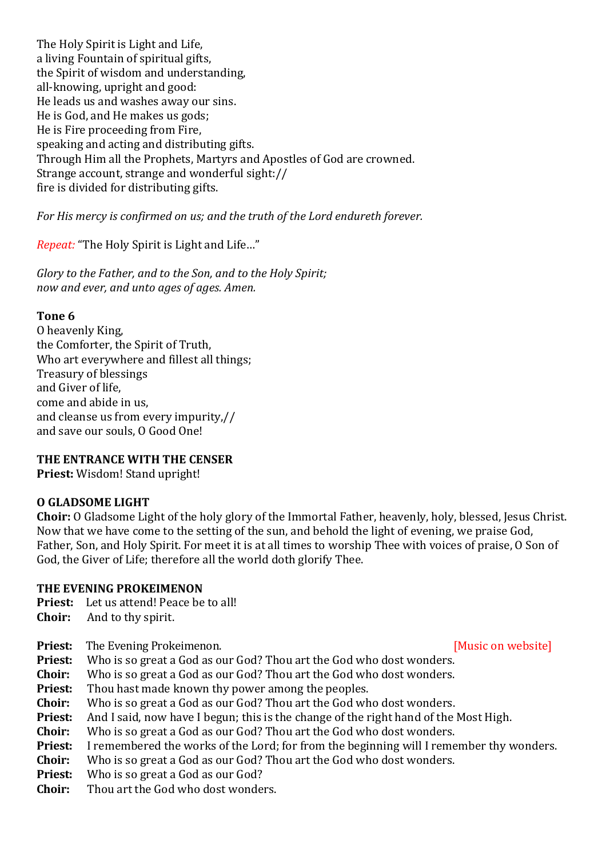The Holy Spirit is Light and Life, a living Fountain of spiritual gifts, the Spirit of wisdom and understanding, all-knowing, upright and good: He leads us and washes away our sins. He is God, and He makes us gods; He is Fire proceeding from Fire, speaking and acting and distributing gifts. Through Him all the Prophets, Martyrs and Apostles of God are crowned. Strange account, strange and wonderful sight:// fire is divided for distributing gifts.

*For His mercy is confirmed on us; and the truth of the Lord endureth forever.* 

*Repeat:* "The Holy Spirit is Light and Life…"

*Glory to the Father, and to the Son, and to the Holy Spirit; now and ever, and unto ages of ages. Amen.* 

### **Tone 6**

O heavenly King, the Comforter, the Spirit of Truth, Who art everywhere and fillest all things; Treasury of blessings and Giver of life, come and abide in us, and cleanse us from every impurity,// and save our souls, O Good One!

### **THE ENTRANCE WITH THE CENSER**

**Priest:** Wisdom! Stand upright!

### **O GLADSOME LIGHT**

**Choir:** O Gladsome Light of the holy glory of the Immortal Father, heavenly, holy, blessed, Jesus Christ. Now that we have come to the setting of the sun, and behold the light of evening, we praise God, Father, Son, and Holy Spirit. For meet it is at all times to worship Thee with voices of praise, O Son of God, the Giver of Life; therefore all the world doth glorify Thee.

### **THE EVENING PROKEIMENON**

- **Priest:** Let us attend! Peace be to all!
- **Choir:** And to thy spirit.
- **Priest:** The Evening Prokeimenon. *CON* **EVENING CONSTRANT CONSTRANT CONSTRANT CONSTRANT CONSTRANT CONSTRANT CONSTRANT CONSTRANT CONSTRANT CONSTRANT CONSTRANT CONSTRANT CONSTRANT CONSTRANT CONSTRANT CONSTRANT CONSTRANT**
- **Priest:** Who is so great a God as our God? Thou art the God who dost wonders.
- **Choir:** Who is so great a God as our God? Thou art the God who dost wonders.
- **Priest:** Thou hast made known thy power among the peoples.
- **Choir:** Who is so great a God as our God? Thou art the God who dost wonders.
- **Priest:** And I said, now have I begun; this is the change of the right hand of the Most High.
- **Choir:** Who is so great a God as our God? Thou art the God who dost wonders.
- **Priest:** I remembered the works of the Lord; for from the beginning will I remember thy wonders.
- **Choir:** Who is so great a God as our God? Thou art the God who dost wonders.
- **Priest:** Who is so great a God as our God?
- **Choir:** Thou art the God who dost wonders.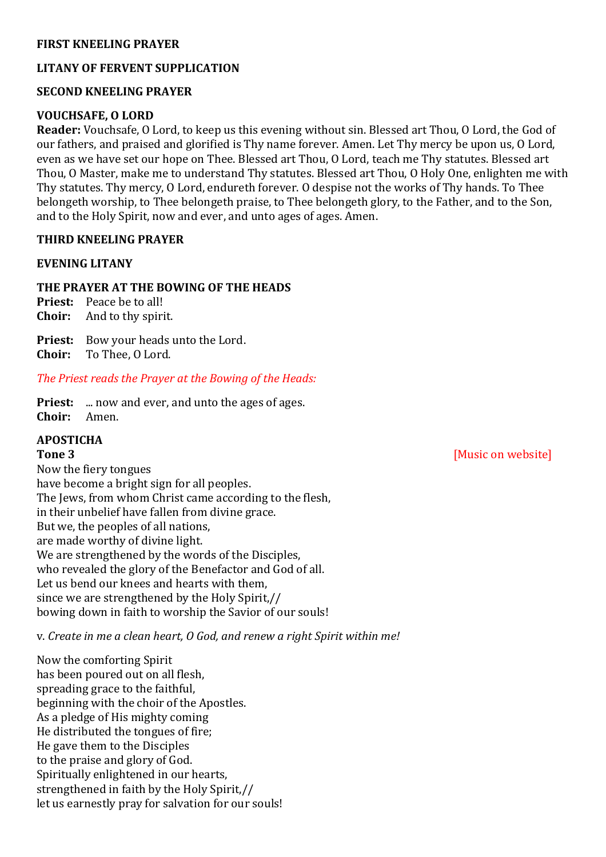#### **FIRST KNEELING PRAYER**

### **LITANY OF FERVENT SUPPLICATION**

#### **SECOND KNEELING PRAYER**

#### **VOUCHSAFE, O LORD**

**Reader:** Vouchsafe, O Lord, to keep us this evening without sin. Blessed art Thou, O Lord, the God of our fathers, and praised and glorified is Thy name forever. Amen. Let Thy mercy be upon us, O Lord, even as we have set our hope on Thee. Blessed art Thou, O Lord, teach me Thy statutes. Blessed art Thou, O Master, make me to understand Thy statutes. Blessed art Thou, O Holy One, enlighten me with Thy statutes. Thy mercy, O Lord, endureth forever. O despise not the works of Thy hands. To Thee belongeth worship, to Thee belongeth praise, to Thee belongeth glory, to the Father, and to the Son, and to the Holy Spirit, now and ever, and unto ages of ages. Amen.

#### **THIRD KNEELING PRAYER**

#### **EVENING LITANY**

#### **THE PRAYER AT THE BOWING OF THE HEADS**

**Priest:** Peace be to all! **Choir:** And to thy spirit.

**Priest:** Bow your heads unto the Lord. **Choir:** To Thee, O Lord.

#### *The Priest reads the Prayer at the Bowing of the Heads:*

**Priest:** ... now and ever, and unto the ages of ages. **Choir:** Amen.

### **APOSTICHA**

Now the fiery tongues have become a bright sign for all peoples. The Jews, from whom Christ came according to the flesh, in their unbelief have fallen from divine grace. But we, the peoples of all nations, are made worthy of divine light. We are strengthened by the words of the Disciples, who revealed the glory of the Benefactor and God of all. Let us bend our knees and hearts with them, since we are strengthened by the Holy Spirit,// bowing down in faith to worship the Savior of our souls!

v. *Create in me a clean heart, O God, and renew a right Spirit within me!*

Now the comforting Spirit has been poured out on all flesh, spreading grace to the faithful, beginning with the choir of the Apostles. As a pledge of His mighty coming He distributed the tongues of fire; He gave them to the Disciples to the praise and glory of God. Spiritually enlightened in our hearts, strengthened in faith by the Holy Spirit,// let us earnestly pray for salvation for our souls!

**Tone 3** *Music on website*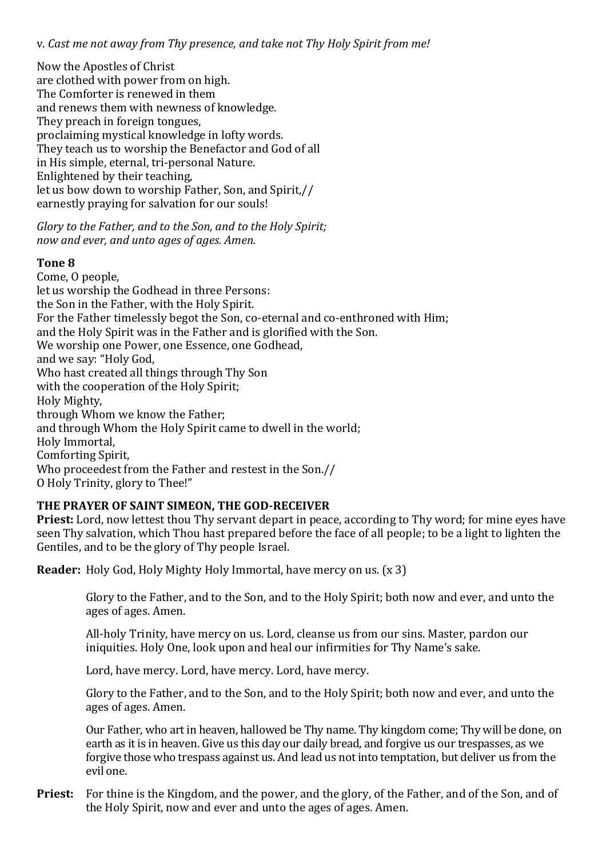v. *Cast me not away from Thy presence, and take not Thy Holy Spirit from me!*

Now the Apostles of Christ are clothed with power from on high. The Comforter is renewed in them and renews them with newness of knowledge. They preach in foreign tongues, proclaiming mystical knowledge in lofty words. They teach us to worship the Benefactor and God of all in His simple, eternal, tri-personal Nature. Enlightened by their teaching, let us bow down to worship Father, Son, and Spirit,// earnestly praying for salvation for our souls!

*Glory to the Father, and to the Son, and to the Holy Spirit; now and ever, and unto ages of ages. Amen.*

#### **Tone 8**

Come, O people, let us worship the Godhead in three Persons: the Son in the Father, with the Holy Spirit. For the Father timelessly begot the Son, co-eternal and co-enthroned with Him; and the Holy Spirit was in the Father and is glorified with the Son. We worship one Power, one Essence, one Godhead, and we say: "Holy God, Who hast created all things through Thy Son with the cooperation of the Holy Spirit; Holy Mighty, through Whom we know the Father; and through Whom the Holy Spirit came to dwell in the world; Holy Immortal, Comforting Spirit, Who proceedest from the Father and restest in the Son.// O Holy Trinity, glory to Thee!"

### **THE PRAYER OF SAINT SIMEON, THE GOD-RECEIVER**

**Priest:** Lord, now lettest thou Thy servant depart in peace, according to Thy word; for mine eyes have seen Thy salvation, which Thou hast prepared before the face of all people; to be a light to lighten the Gentiles, and to be the glory of Thy people Israel.

**Reader:** Holy God, Holy Mighty Holy Immortal, have mercy on us. (x 3)

Glory to the Father, and to the Son, and to the Holy Spirit; both now and ever, and unto the ages of ages. Amen.

All-holy Trinity, have mercy on us. Lord, cleanse us from our sins. Master, pardon our iniquities. Holy One, look upon and heal our infirmities for Thy Name's sake.

Lord, have mercy. Lord, have mercy. Lord, have mercy.

Glory to the Father, and to the Son, and to the Holy Spirit; both now and ever, and unto the ages of ages. Amen.

Our Father, who art in heaven, hallowed be Thy name. Thy kingdom come; Thy will be done, on earth as it is in heaven. Give us this day our daily bread, and forgive us our trespasses, as we forgive those who trespass against us. And lead us not into temptation, but deliver us from the evil one.

**Priest:** For thine is the Kingdom, and the power, and the glory, of the Father, and of the Son, and of the Holy Spirit, now and ever and unto the ages of ages. Amen.